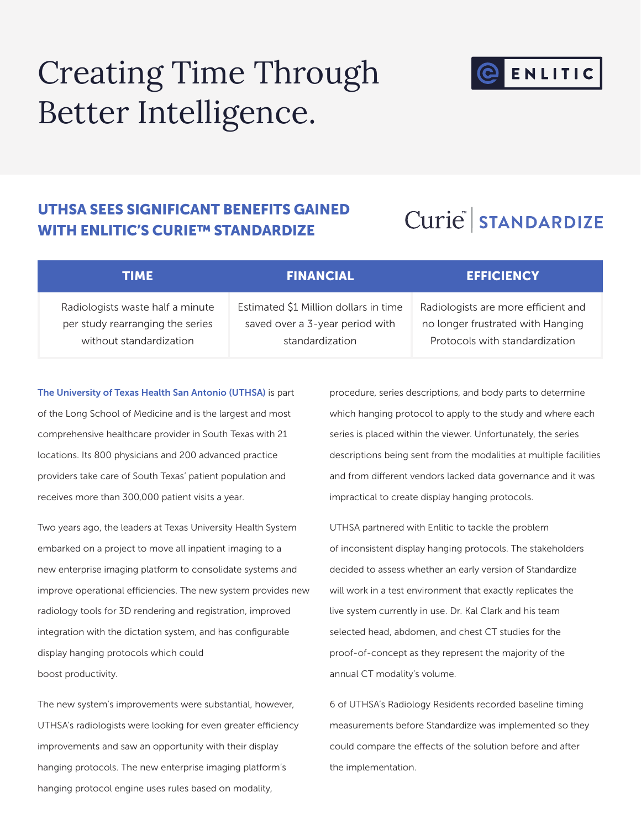# Creating Time Through Better Intelligence.



## UTHSA SEES SIGNIFICANT BENEFITS GAINED WITH ENLITIC'S CURIE™ STANDARDIZE

# Curie STANDARDIZE

| TIME                             | <b>\FINANCIAL\</b>                    | <b>EFFICIENCY</b>                   |
|----------------------------------|---------------------------------------|-------------------------------------|
| Radiologists waste half a minute | Estimated \$1 Million dollars in time | Radiologists are more efficient and |
| per study rearranging the series | saved over a 3-year period with       | no longer frustrated with Hanging   |
| without standardization          | standardization                       | Protocols with standardization      |

#### The University of Texas Health San Antonio (UTHSA) is part

of the Long School of Medicine and is the largest and most comprehensive healthcare provider in South Texas with 21 locations. Its 800 physicians and 200 advanced practice providers take care of South Texas' patient population and receives more than 300,000 patient visits a year.

Two years ago, the leaders at Texas University Health System embarked on a project to move all inpatient imaging to a new enterprise imaging platform to consolidate systems and improve operational efficiencies. The new system provides new radiology tools for 3D rendering and registration, improved integration with the dictation system, and has configurable display hanging protocols which could boost productivity.

The new system's improvements were substantial, however, UTHSA's radiologists were looking for even greater efficiency improvements and saw an opportunity with their display hanging protocols. The new enterprise imaging platform's hanging protocol engine uses rules based on modality,

procedure, series descriptions, and body parts to determine which hanging protocol to apply to the study and where each series is placed within the viewer. Unfortunately, the series descriptions being sent from the modalities at multiple facilities and from different vendors lacked data governance and it was impractical to create display hanging protocols.

UTHSA partnered with Enlitic to tackle the problem of inconsistent display hanging protocols. The stakeholders decided to assess whether an early version of Standardize will work in a test environment that exactly replicates the live system currently in use. Dr. Kal Clark and his team selected head, abdomen, and chest CT studies for the proof-of-concept as they represent the majority of the annual CT modality's volume.

6 of UTHSA's Radiology Residents recorded baseline timing measurements before Standardize was implemented so they could compare the effects of the solution before and after the implementation.